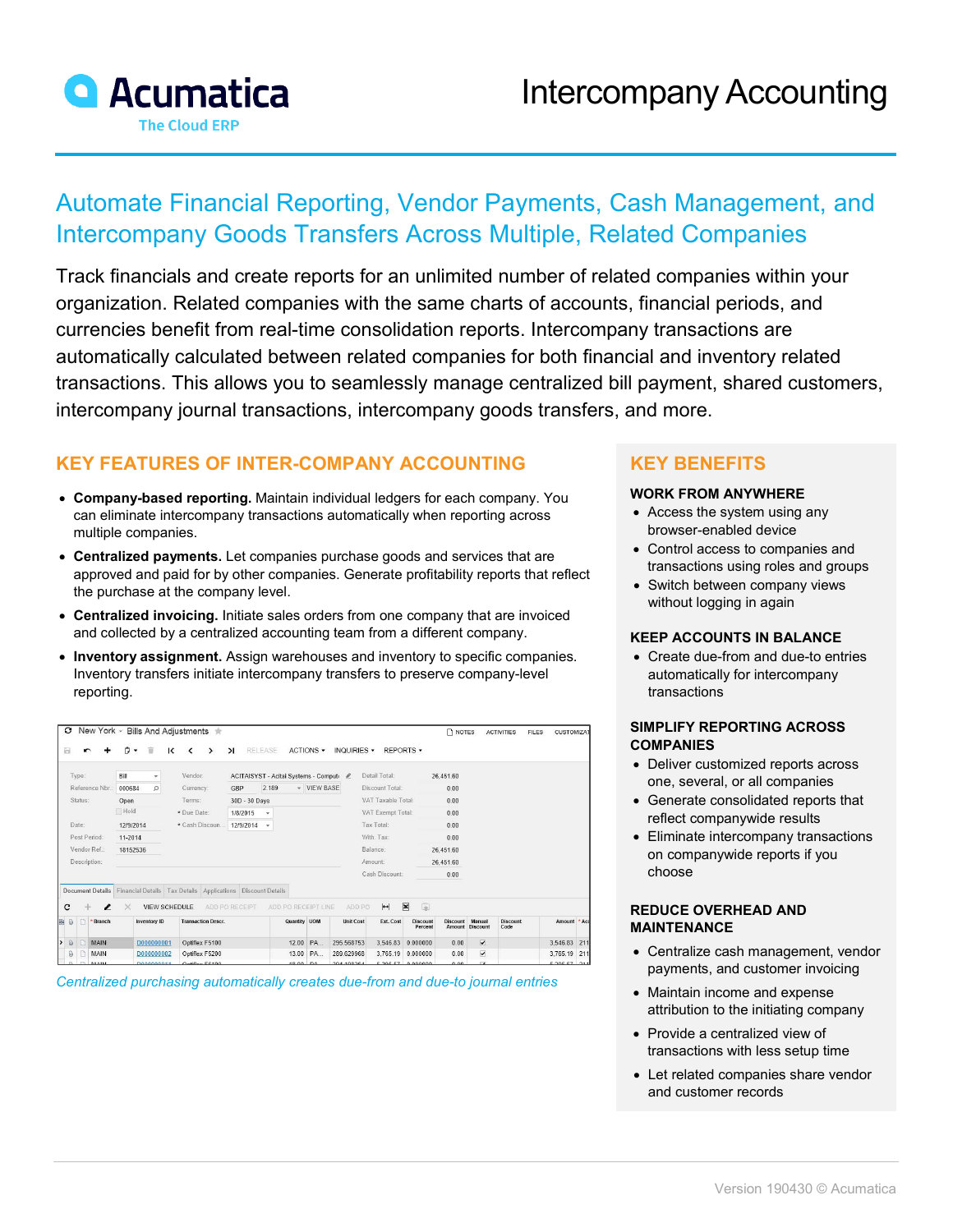

# Automate Financial Reporting, Vendor Payments, Cash Management, and Intercompany Goods Transfers Across Multiple, Related Companies

Track financials and create reports for an unlimited number of related companies within your organization. Related companies with the same charts of accounts, financial periods, and currencies benefit from real-time consolidation reports. Intercompany transactions are automatically calculated between related companies for both financial and inventory related transactions. This allows you to seamlessly manage centralized bill payment, shared customers, intercompany journal transactions, intercompany goods transfers, and more.

# **KEY FEATURES OF INTER-COMPANY ACCOUNTING**

- **Company-based reporting.** Maintain individual ledgers for each company. You can eliminate intercompany transactions automatically when reporting across multiple companies.
- **Centralized payments.** Let companies purchase goods and services that are approved and paid for by other companies. Generate profitability reports that reflect the purchase at the company level.
- **Centralized invoicing.** Initiate sales orders from one company that are invoiced and collected by a centralized accounting team from a different company.
- **Inventory assignment.** Assign warehouses and inventory to specific companies. Inventory transfers initiate intercompany transfers to preserve company-level reporting.

| O                      |                        | New York ~ Bills And Adjustments $\pm$                            |                                         |              |                     |                  |                    |                            | <b>NOTES</b>    |                           | <b>ACTIVITIES</b>       | <b>FILES</b> | CUSTOMIZAT      |     |
|------------------------|------------------------|-------------------------------------------------------------------|-----------------------------------------|--------------|---------------------|------------------|--------------------|----------------------------|-----------------|---------------------------|-------------------------|--------------|-----------------|-----|
| Ы<br>r                 | 盲<br>P<br>$\checkmark$ | к<br>∢<br>ゝ                                                       | RELEASE<br>$\geq$                       |              | ACTIONS -           | INQUIRIES -      | REPORTS +          |                            |                 |                           |                         |              |                 |     |
| Type:                  | Bill<br>۰              | Vendor:                                                           | ACITAISYST - Acitai Systems - Computi & |              |                     |                  | Detail Total:      |                            | 26,451.60       |                           |                         |              |                 |     |
| Reference Nbr.         | $\Omega$<br>000684     | Currency:                                                         | 2.189<br>GBP                            |              | - VIEW BASE         |                  | Discount Total:    |                            | 0.00            |                           |                         |              |                 |     |
| Status:                | Open                   | Terms:                                                            | 30D - 30 Days                           |              |                     |                  | VAT Taxable Total: |                            | 0.00            |                           |                         |              |                 |     |
|                        | Hold                   | * Due Date:                                                       | 1/8/2015<br>$\mathbf{v}$                |              |                     |                  | VAT Exempt Total:  |                            | 0.00            |                           |                         |              |                 |     |
| Date:                  | 12/9/2014              | * Cash Discoun 12/9/2014                                          | $\rightarrow$                           |              |                     |                  | Tax Total:         |                            | 0.00            |                           |                         |              |                 |     |
| Post Period:           | 11-2014                |                                                                   |                                         |              |                     |                  | With, Tax:         |                            | 0.00            |                           |                         |              |                 |     |
| Vendor Ref.:           | 18152536               |                                                                   |                                         |              |                     |                  | Balance:           |                            | 26.451.60       |                           |                         |              |                 |     |
| Description:           |                        |                                                                   |                                         |              |                     |                  | Amount:            |                            | 26.451.60       |                           |                         |              |                 |     |
|                        |                        |                                                                   |                                         |              |                     |                  | Cash Discount:     |                            | 0.00            |                           |                         |              |                 |     |
| Document Details       |                        | Financial Details   Tax Details   Applications   Discount Details |                                         |              |                     |                  |                    |                            |                 |                           |                         |              |                 |     |
| с<br>÷,<br>,           | $\times$               | VIEW SCHEDULE                                                     | ADD PO RECEIPT                          |              | ADD PO RECEIPT LINE | ADD PO           | $\mathbf{H}$       | $\boxed{\mathbf{x}}$<br>国  |                 |                           |                         |              |                 |     |
| * Branch<br>目<br>ß,    | Inventory ID           | <b>Transaction Descr.</b>                                         |                                         | Quantity UOM |                     | <b>Unit Cost</b> | Ext. Cost          | <b>Discount</b><br>Percent | <b>Discount</b> | Manual<br>Amount Discount | <b>Discount</b><br>Code |              | Amount * Acd    |     |
| $\theta$<br>MAIN<br>دا | D000000001             | Optiflex F5100                                                    |                                         |              | 12.00 PA            | 295.568753       | 3,546.83           | 0.000000                   | 0.00            | $\overline{\mathbf{v}}$   |                         |              | 3,546.83        | 211 |
| MAIN<br>a              | D000000002             | Optiflex F5200                                                    |                                         |              | 13.00 PA            | 289.629968       | 3,765.19           | 0.000000                   | 0.00            | M                         |                         |              | 3,765.19        | 211 |
| <b>145151</b>          | <b>DODDODOS</b>        | Ontificul EC400                                                   |                                         | 40.00 DA     |                     | 304-109364       |                    | <b>5 305 57 0 000000</b>   | 0.00            | m.                        |                         |              | $0.205EZ$ $244$ |     |

*Centralized purchasing automatically creates due-from and due-to journal entries*

## **KEY BENEFITS**

#### **WORK FROM ANYWHERE**

- Access the system using any browser-enabled device
- Control access to companies and transactions using roles and groups
- Switch between company views without logging in again

#### **KEEP ACCOUNTS IN BALANCE**

• Create due-from and due-to entries automatically for intercompany transactions

#### **SIMPLIFY REPORTING ACROSS COMPANIES**

- Deliver customized reports across one, several, or all companies
- Generate consolidated reports that reflect companywide results
- Eliminate intercompany transactions on companywide reports if you choose

#### **REDUCE OVERHEAD AND MAINTENANCE**

- Centralize cash management, vendor payments, and customer invoicing
- Maintain income and expense attribution to the initiating company
- Provide a centralized view of transactions with less setup time
- Let related companies share vendor and customer records